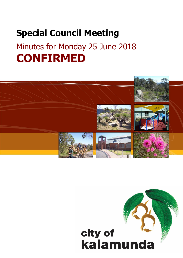# **Special Council Meeting** Minutes for Monday 25 June 2018 **CONFIRMED**



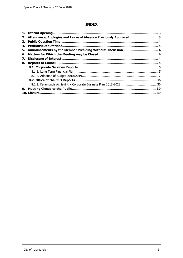# **INDEX**

| 1. |                                                                  | з  |
|----|------------------------------------------------------------------|----|
| 2. | Attendance, Apologies and Leave of Absence Previously Approved 3 |    |
| З. |                                                                  |    |
| 4. |                                                                  |    |
| 5. |                                                                  |    |
| 6. |                                                                  |    |
| 7. |                                                                  |    |
| 8. |                                                                  |    |
|    |                                                                  |    |
|    |                                                                  |    |
|    |                                                                  |    |
|    |                                                                  |    |
|    |                                                                  |    |
| 9. |                                                                  | 39 |
|    |                                                                  | 39 |
|    |                                                                  |    |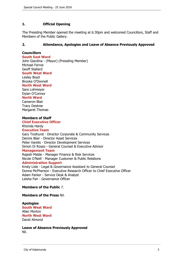# <span id="page-2-0"></span>**1. Official Opening**

The Presiding Member opened the meeting at 6:30pm and welcomed Councillors, Staff and Members of the Public Gallery.

# **2. Attendance, Apologies and Leave of Absence Previously Approved**

# **Councillors**

#### **South East Ward**

John Giardina - (Mayor) (Presiding Member) Michael Fernie Geoff Stallard

**South West Ward**

Lesley Boyd Brooke O'Donnell **North West Ward**

Sara Lohmeyer Dylan O'Connor **North Ward**

Cameron Blair Tracy Destree Margaret Thomas

### **Members of Staff**

#### **Chief Executive Officer** Rhonda Hardy

**Executive Team**

Gary Ticehurst - Director Corporate & Community Services Dennis Blair - Director Asset Services Peter Varelis - Director Development Services Simon Di Rosso - General Counsel & Executive Advisor **Management Team** Rajesh Malde - Manager Finance & Risk Services Nicole O'Neill - Manager Customer & Public Relations **Administration Support**

Kristy Lisle - Legal & Governance Assistant to General Counsel Donna McPherson - Executive Research Officer to Chief Executive Officer Adam Parker - Service Desk & Analyst Leisha Fair - Governance Officer

#### **Members of the Public** 7.

**Members of the Press** Nil.

# **Apologies**

**South West Ward** Allan Morton **North West Ward** David Almond

**Leave of Absence Previously Approved** Nil.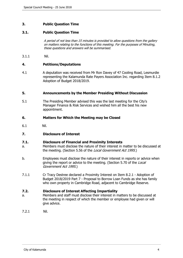# <span id="page-3-0"></span>**3. Public Question Time**

# **3.1. Public Question Time**

A period of not less than 15 minutes is provided to allow questions from the gallery on matters relating to the functions of this meeting. For the purposes of Minuting, these questions and answers will be summarised.

3.1.1 Nil.

#### **4. Petitions/Deputations**

4.1 A deputation was received from Mr Ron Davey of 47 Cooling Road, Lesmurdie representing the Kalamunda Rate Payers Association Inc. regarding Item 8.1.2 Adoption of Budget 2018/2019.

#### **5. Announcements by the Member Presiding Without Discussion**

5.1 The Presiding Member advised this was the last meeting for the City's Manager Finance & Risk Services and wished him all the best his new appointment.

### **6. Matters for Which the Meeting may be Closed**

6.1 Nil.

# **7. Disclosure of Interest**

#### **7.1. Disclosure of Financial and Proximity Interests**

- a. Members must disclose the nature of their interest in matter to be discussed at the meeting. (Section 5.56 of the *Local Government Act 1995*.)
- b. Employees must disclose the nature of their interest in reports or advice when giving the report or advice to the meeting. (Section 5.70 of the Local Government Act 1995.)
- 7.1.1 Cr Tracy Destree declared a Proximity Interest on Item 8.2.1 Adoption of Budget 2018/2019 Part 7 - Proposal to Borrow Loan Funds as she has family who own property in Cambridge Road, adjacent to Cambridge Reserve.

#### **7.2. Disclosure of Interest Affecting Impartiality**

- a. Members and staff must disclose their interest in matters to be discussed at the meeting in respect of which the member or employee had given or will give advice.
- 7.2.1 Nil.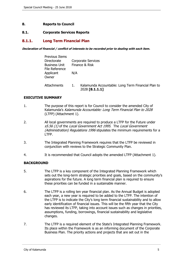# <span id="page-4-0"></span>**8. Reports to Council**

#### **8.1. Corporate Services Reports**

# **8.1.1. Long Term Financial Plan**

**Declaration of financial / conflict of interests to be recorded prior to dealing with each item.**

| <b>Previous Items</b>                  |     |                                                                      |
|----------------------------------------|-----|----------------------------------------------------------------------|
| Directorate                            |     | <b>Corporate Services</b>                                            |
| <b>Business Unit</b><br>File Reference |     | Finance & Risk                                                       |
| Applicant<br>Owner                     | N/A |                                                                      |
| Attachments                            | 1.  | Kalamunda Accountable: Long Term Financial Plan to<br>2028 [8.1.1.1] |

### **EXECUTIVE SUMMARY**

- 1. The purpose of this report is for Council to consider the amended City of Kalamunda's Kalamunda Accountable: Long Term Financial Plan to 2028 (LTFP) (Attachment 1).
- 2. All local governments are required to produce a LTFP for the Future under s5.56 (1) of the Local Government Act 1995. The Local Government (Administration) Regulations 1996 stipulates the minimum requirements for a LTFP.
- 3. The Integrated Planning Framework requires that the LTFP be reviewed in conjunction with reviews to the Strategic Community Plan.
- 4. It is recommended that Council adopts the amended LTFP (Attachment 1).

# **BACKGROUND**

- 5. The LTFP is a key component of the Integrated Planning Framework which sets out the long-term strategic priorities and goals, based on the community's aspirations for the future. A long term financial plan is required to ensure these priorities can be funded in a sustainable manner.
- 6. The LTFP is a rolling ten year financial plan. As the Annual Budget is adopted each year, a new year is required to be added to the LTFP. The intention of the LTFP is to indicate the City's long term financial sustainability and to allow early identification of financial issues. This will be the fifth year that the City has reviewed its LTFP, taking into account issues such as changes in priorities, assumptions, funding, borrowings, financial sustainability and legislative changes.
- 7. The LTFP is a required element of the State's Integrated Planning Framework. Its place within the Framework is as an informing document of the Corporate Business Plan. The priority actions and projects that are set out in the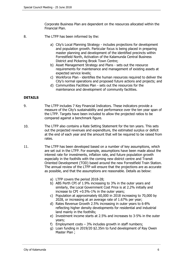Corporate Business Plan are dependent on the resources allocated within the Financial Plan.

- 8. The LTFP has been informed by the:
	- a) City's Local Planning Strategy includes projections for development and population growth. Particular focus is being placed in preparing master planning and development of the identified precincts within Forrestfield North, Activation of the Kalamunda Central Business District and Pickering Brook Town Centre;
	- b) Asset Management Strategy and Plans sets out the resource requirements for maintenance and management of existing assets at expected service levels;
	- c) Workforce Plan identifies the human resources required to deliver the City's normal operations and proposed future actions and projects; and
	- d) Communities Facilities Plan sets out the resources for the maintenance and development of community facilities.

#### **DETAILS**

- 9. The LTFP includes 7 Key Financial Indicators. These indicators provide a measure of the City's sustainability and performance over the ten year span of the LTFP. Targets have been included to allow the projected ratios to be compared against a benchmark figure.
- 10. The LTFP also contains a Rate Setting Statement for the ten years. This sets out the projected revenues and expenditure, the estimated surplus or deficit at the end of each year and the amount that will be required to be raised from rates.
- 11. The LTFP has been developed based on a number of key assumptions, which are set out in the LTFP. For example, assumptions have been made about the interest rate for investments, inflation rate, and future population growth especially in the foothills with the coming new district centre and Transit Oriented Development (TOD) based around the new Forrestfield Train Station. The annual review of the LTFP will ensure that the projections are as accurate as possible, and that the assumptions are reasonable. Details as below:
	- a) LTFP covers the period 2018-28;
	- b) ABS Perth CPI of 1.9% increasing to 3% in the outer years and similarly, the Local Government Cost Price is at 2.2% initially and increase to CPI +0.5%-1% in the outer years;
	- c) Population at approximately 60,000 in 2018 increasing to 70,000 by 2028, or increasing at an average rate of 1.67% per year;
	- d) Rates Revenue Growth 2.5% increasing in outer years to 6-8% reflecting higher density developments for residential and industrial land mainly in the foothills;
	- e) Investment income starts at 2.5% and increases to 3-5% in the outer years;
	- f) Employment costs  $-3\%$  includes growth in staff numbers;
	- g) Loan funding in 2019/20 \$2.35m to fund development of Ray Owen Master Plan ;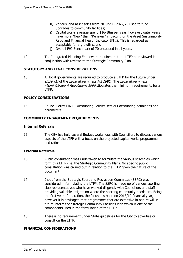- h) Various land asset sales from 2019/20 2022/23 used to fund upgrades to community facilities;
- i) Capital works average spend \$16-18m per year, however, outer years have more "New" than "Renewal" impacting on the Asset Sustainability Ratio and Financial Health Indicator (FHI). This is regarded as acceptable for a growth council;
- j) Overall FHI Benchmark of 70 exceeded in all years.
- 12. The Integrated Planning Framework requires that the LTFP be reviewed in conjunction with reviews to the Strategic Community Plan.

# **STATUTORY AND LEGAL CONSIDERATIONS**

13. All local governments are required to produce a LTFP for the Future under s5.56 (1) of the Local Government Act 1995. The Local Government (Administration) Regulations 1996 stipulates the minimum requirements for a LTFP.

# **POLICY CONSIDERATIONS**

14. Council Policy FIN1 – Accounting Policies sets out accounting definitions and parameters.

# **COMMUNITY ENGAGEMENT REQUIREMENTS**

#### **Internal Referrals**

15. The City has held several Budget workshops with Councillors to discuss various aspects of the LTFP with a focus on the projected capital works programme and ratios.

# **External Referrals**

- 16. Public consultation was undertaken to formulate the various strategies which form this LTFP (i.e. the Strategic Community Plan). No specific public consultation was carried out in relation to the LTFP given the nature of the document.
- 17. Input from the Strategic Sport and Recreation Committee (SSRC) was considered in formulating the LTFP. The SSRC is made up of various sporting club representatives who have worked diligently with Councillors and staff providing valuable insights on where the sporting community needs are. Being the first year of operation, the focus has been on 2018/19 financial year, however it is envisaged that programmes that are extensive in nature will in future inform the Strategic Community Facilities Plan which is one of the components used in the formulation of the LTFP.
- 18. There is no requirement under State guidelines for the City to advertise or consult on the LTFP.

# **FINANCIAL CONSIDERATIONS**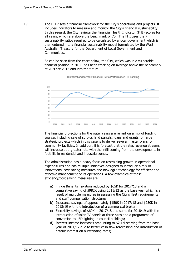19. The LTFP sets a financial framework for the City's operations and projects. It includes indicators to measure and monitor the City's financial sustainability. In this regard, the City reviews the Financial Health Indicator (FHI) scores for all years, which are above the benchmark of 70. The FHI uses the 7 sustainability ratios required to be calculated by a local government which is then entered into a financial sustainability model formulated by the West Australian Treasury for the Department of Local Government and Communities.

> As can be seen from the chart below, the City, which was in a vulnerable financial position in 2011, has been tracking on average above the benchmark of 70 since 2013 and into the future.



Historical and forecast Financial Ratio Performance FHI Ranking

The financial projections for the outer years are reliant on a mix of funding sources including sale of surplus land parcels, loans and grants for large strategic projects which in this case is to deliver several master plans for community facilities. In addition, it is forecast that the rates revenue streams will increase at a greater rate with the infill coming from the developments in foothills in residential and industrial zones.

The administration has a heavy focus on restraining growth in operational expenditures and has multiple initiatives designed to introduce a mix of innovations, cost saving measures and new agile technology for efficient and effective management of its operations. A few examples of these efficiency/cost saving measures are:

- a) Fringe Benefits Taxation reduced by \$65K for 2017/18 and a cumulative saving of \$982K using 2011/12 as the base year which is a result of multiple measures in assessing the City's fleet requirements and staff compensation structures;
- b) Insurance savings of approximately \$150K in 2017/18 and \$250K in 2018/19 with the introduction of a commercial broker;
- c) Electricity savings of \$60K in 2017/18 and same for 2018/19 with the introduction of solar PV panels at three sites and a programme of conversion to LED lighting in council buildings;
- d) Interest income increases amounting to \$2.1M starting from the base year of 2011/12 due to better cash flow forecasting and introduction of default interest on outstanding rates;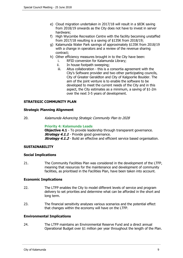- e) Cloud migration undertaken in 2017/18 will result in a \$83K saving from 2018/19 onwards as the City does not have to invest in server hardware;
- f) High Wycombe Recreation Centre with the facility becoming unstaffed from 2017/18 resulting is a saving of \$135K from 2018/19;
- g) Kalamunda Water Park savings of approximately \$135K from 2018/19 with a change in operators and a review of the revenue sharing contract;
- h) Other efficiency measures brought in to the City have been:
	- i. RFID conversion for Kalamunda Library;
	- ii. In house footpath sweeping;
	- iii. Altus collaboration this is a consortia agreement with the City's Software provider and two other participating councils, City of Greater Geraldton and City of Kalgoorlie Boulder. The aim of the joint venture is to enable the software to be developed to meet the current needs of the City and in this aspect, the City estimates as a minimum, a saving of \$1-2m over the next 3-5 years of development.

### **STRATEGIC COMMUNITY PLAN**

#### **Strategic Planning Alignment**

20. Kalamunda Advancing Strategic Community Plan to 2028

#### **Priority 4: Kalamunda Leads**

**Objective 4.1** - To provide leadership through transparent governance. **Strategy 4.1.1** - Provide good governance. **Strategy 4.1.2** - Build an effective and efficient service based organisation.

# **SUSTAINABILITY**

#### **Social Implications**

21. The Community Facilities Plan was considered in the development of the LTFP, meaning that resources for the maintenance and development of community facilities, as prioritised in the Facilities Plan, have been taken into account.

#### **Economic Implications**

- 22. The LTFP enables the City to model different levels of service and program delivery to set priorities and determine what can be afforded in the short and long term.
- 23. The financial sensitivity analyses various scenarios and the potential effect that changes within the economy will have on the LTFP.

#### **Environmental Implications**

24. The LTFP maintains an Environmental Reserve Fund and a direct annual Operational Budget over \$1 million per year throughout the length of the Plan.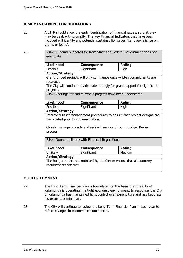# **RISK MANAGEMENT CONSIDERATIONS**

25. A LTFP should allow the early identification of financial issues, so that they may be dealt with promptly. The Key Financial Indicators that have been included will identify any potential sustainability issues (i.e. over-reliance on grants or loans).

| 26. | Risk: Funding budgeted for from State and Federal Government does not<br>eventuate                              |                    |             |  |  |
|-----|-----------------------------------------------------------------------------------------------------------------|--------------------|-------------|--|--|
|     | <b>Likelihood</b>                                                                                               | <b>Consequence</b> | Rating      |  |  |
|     | Possible                                                                                                        | Significant        | High        |  |  |
|     | <b>Action/Strategy</b>                                                                                          |                    |             |  |  |
|     | Grant funded projects will only commence once written commitments are<br>received.                              |                    |             |  |  |
|     | The City will continue to advocate strongly for grant support for significant<br>projects.                      |                    |             |  |  |
|     | Risk: Costings for capital works projects have been understated                                                 |                    |             |  |  |
|     | <b>Likelihood</b>                                                                                               | <b>Consequence</b> | Rating      |  |  |
|     | Possible                                                                                                        | Significant        | <b>High</b> |  |  |
|     | <b>Action/Strategy</b>                                                                                          |                    |             |  |  |
|     | Improved Asset Management procedures to ensure that project designs are<br>well costed prior to implementation. |                    |             |  |  |
|     | Closely manage projects and redirect savings through Budget Review<br>process.                                  |                    |             |  |  |
|     | Risk: Non-compliance with Financial Regulations                                                                 |                    |             |  |  |
|     | <b>Likelihood</b>                                                                                               | <b>Consequence</b> | Rating      |  |  |
|     | Unlikely                                                                                                        | Significant        | Medium      |  |  |
|     | <b>Action/Strategy</b>                                                                                          |                    |             |  |  |
|     | The budget report is scrutinized by the City to ensure that all statutory<br>requirements are met.              |                    |             |  |  |

# **OFFICER COMMENT**

- 27. The Long Term Financial Plan is formulated on the basis that the City of Kalamunda is operating in a tight economic environment. In response, the City of Kalamunda has maintained tight control over expenditure and has kept rate increases to a minimum.
- 28. The City will continue to review the Long Term Financial Plan in each year to reflect changes in economic circumstances.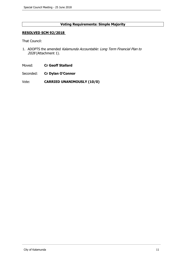# **Voting Requirements: Simple Majority**

#### **RESOLVED SCM 92/2018**

That Council:

- 1. ADOPTS the amended Kalamunda Accountable: Long Term Financial Plan to 2028 (Attachment 1).
- Moved: **Cr Geoff Stallard**
- Seconded: **Cr Dylan O'Connor**
- Vote: **CARRIED UNANIMOUSLY (10/0)**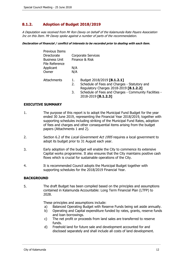# <span id="page-11-0"></span>**8.1.2. Adoption of Budget 2018/2019**

A Deputation was received from Mr Ron Davey on behalf of the Kalamunda Rate Payers Association Inc on this Item. Mr Davey spoke against a number of parts of the recommendation.

#### **Declaration of financial / conflict of interests to be recorded prior to dealing with each item.**

|     | <b>Corporate Services</b>                                                    |
|-----|------------------------------------------------------------------------------|
|     | Finance & Risk                                                               |
| N/A |                                                                              |
| N/A |                                                                              |
| 1.  | Budget 2018/2019 [8.1.2.1]                                                   |
|     | Schedule of Fees and Charges - Statutory and                                 |
|     | Regulatory Charges 2018-2019 [8.1.2.2]                                       |
| 3.  | Schedule of Fees and Charges - Community Facilities -<br>2018-2019 [8.1.2.3] |
|     | 2.                                                                           |

#### **EXECUTIVE SUMMARY**

- 1. The purpose of this report is to adopt the Municipal Fund Budget for the year ended 30 June 2019, representing the Financial Year 2018/2019, together with supporting schedules including striking of the Municipal Fund Rates, adoption of fees and charges and other consequential items arising from the budget papers (Attachments 1 and 2).
- 2. Section 6.2 of the Local Government Act 1995 requires a local government to adopt its budget prior to 31 August each year.
- 3. Early adoption of the budget will enable the City to commence its extensive Capital works programme. It also ensures that the City maintains positive cash flows which is crucial for sustainable operations of the City.
- 4. It is recommended Council adopts the Municipal Budget together with supporting schedules for the 2018/2019 Financial Year.

#### **BACKGROUND**

5. The draft Budget has been compiled based on the principles and assumptions contained in Kalamunda Accountable: Long Term Financial Plan (LTFP) to 2028.

These principles and assumptions include:

- a) Balanced Operating Budget with Reserve Funds being set aside annually.
- b) Operating and Capital expenditure funded by rates, grants, reserve funds and loan borrowings.
- c) The net profit or proceeds from land sales are transferred to reserve funds.
- d) Freehold land for future sale and development accounted for and disclosed separately and shall include all costs of land development.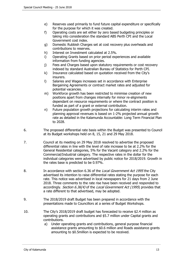- e) Reserves used primarily to fund future capital expenditure or specifically for the purpose for which it was created.
- f) Operating costs are set either by zero based budgeting principles or taking into consideration the standard ABS Perth CPI and the Local Government cost index.
- g) Domestic Rubbish Charges set at cost recovery plus overheads and contributions to reserves.
- h) Interest on Investment calculated at 2.5%.
- i) Operating Grants based on prior period experiences and available information from funding agencies.
- j) Fees and Charges based upon statutory requirements or cost recovery indexed by standard Australian Bureau of Statistics for Perth CPI.
- k) Insurance calculated based on quotation received from the City's insurers.
- l) Salaries and Wages increases set in accordance with Enterprise Bargaining Agreements or contract market rates and adjusted for potential vacancies.
- m) Workforce growth has been restricted to minimise creation of new positions apart from changes internally for minor re-alignments dependant on resource requirements or where the contract position is funded as part of a grant or external contribution.
- n) Future population growth projections for calculating interim rates and planning approval revenues is based on 1-2% projected annual growth rate as detailed in the Kalamunda Accountable: Long Term Financial Plan to 2028.
- 6. The proposed differential rate basis within the Budget was presented to Council at its Budget workshops held on 8, 15, 21 and 29 May 2018.
- 7. Council at its meeting on 29 May 2018 resolved to advertise the proposed differential rates in line with the level of rate increase to be at 2.2% for the General Residential categories, 5% for the Vacant category and 2.2% for the Commercial/Industrial category. The respective rates in the dollar for the individual categories were advertised by public notice for 2018/2019. Growth in the rates base is predicted to be 0.97%.
- 8. In accordance with section 6.36 of the Local Government Act 1995 the City advertised its intention to raise differential rates stating the purpose for each rate. This notice was advertised in local newspapers for 21 days from 2 June 2018. Three comments to the rate rise have been received and responded to accordingly. Section 6.36(4) of the Local Government Act (1995) provides that a rate different to that advertised, may be adopted.
- 9. The 2018/2019 draft Budget has been prepared in accordance with the presentations made to Councillors at a series of Budget Workshops.
- 10. The City's 2018/2019 draft budget has forecasted to receive \$2.4 million as operating grants and contributions and \$5.7 million under Capital grants and contributions.
	- a) Under operating grants and contributions, general purpose financial assistance grants amounting to \$0.6 million and Roads assistance grants amounting to \$0.5million is expected to be received.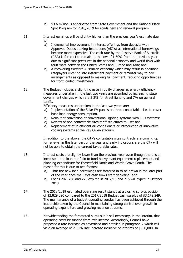- b) \$3.6 million is anticipated from State Government and the National Black Spot Program for 2018/2019 for roads new and renewal program.
- 11. Interest earnings will be slightly higher than the previous year's estimate due to:
	- a) Incremental improvement in interest offerings from deposits with Approved Deposit taking Institutions (ADI's) as international borrowings become more expensive. The cash rate by the Reserve Bank of Australia (RBA) is forecast to remain at the low of 1.50% from the previous year due to significant pressures in the national economy and world risks with tariff wars between the United States and Europe and Asia; and
	- b) A recovering Western Australian economy which may result in additional ratepayers entering into installment payment or "smarter way to pay" arrangements as opposed to making full payment, reducing opportunities for front loaded investments.
- 12. The Budget includes a slight increase in utility charges as energy efficiency measures undertaken in the last two years are absorbed by increasing state government charges which are 3.2% for street lighting and 7% on general tariffs.

Efficiency measures undertaken in the last two years are:

- a) Implementation of the Solar PV panels on three contestable sites to cover base load energy consumption,
- b) Rollout of conversion of conventional lighting systems with LED systems;
- c) Review of non-contestable sites tariff structures to use; and
- d) Replacement of in-efficient air-conditioners or introduction of innovative cooling systems at the Ray Owen stadium.

In addition to the above, the City's contestable sites contracts are coming up for renewal in the later part of the year and early indications are the City will not be able to obtain the current favourable rates.

- 13. Interest costs are slightly lower than the previous year even though there is an increase in the loan portfolio to fund heavy plant equipment replacement and planning expenditure for Forrestfield North and Wattle Grove South. The reason for this is due to two factors:
	- a) That the new loan borrowings are factored in to be drawn in the later part of the year once the City's cash flows start depleting; and
	- b) Loans 207, 208 and 225 expired in 2017/18 and 215 will expire in October 2018.
- 14. The 2018/2019 estimated operating result stands at a closing surplus position of \$2,829,090 compared to the 2017/2018 Budget cash surplus of \$3,142,249. The maintenance of a budget operating surplus has been achieved through the leadership taken by the Council in maintaining strong control over growth in operating expenditure and growing revenue streams.
- 15. Notwithstanding the forecasted surplus it is still necessary, in the interim, that operating costs be funded from rate income. Accordingly, Council have proposed a rate increase as advertised and detailed in paragraph 7 which will yield an average of 2.15% rate increase inclusive of interims of \$350,000. In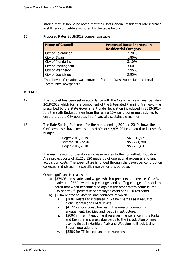stating that, it should be noted that the City's General Residential rate increase is still very competitive as noted by the table below.

16. Proposed Rates 2018/2019 comparison table:

| <b>Name of Council</b> | <b>Proposed Rates increase in</b><br><b>Residential Category</b> |
|------------------------|------------------------------------------------------------------|
| City of Kalamunda      | 2.20%                                                            |
| City of Swan           | 1.80%                                                            |
| City of Mundaring      | 3.10%                                                            |
| City of Rockingham     | 3.60%                                                            |
| City of Wanneroo       | 2.95%                                                            |
| City of Joondalup      | 2.95%                                                            |

The above information was extracted from the West Australian and Local Community Newspapers.

### **DETAILS**

- 17. This Budget has been set in accordance with the City's Ten Year Financial Plan 2018/2028 which forms a component of the Integrated Planning Framework as prescribed by the State Government under legislation introduced in 2013/2014. It is the sixth Budget drawn from the rolling 10-year programme designed to ensure that the City operates in a financially sustainable manner.
- 18. The Rate Setting Statement for the period ending 30 June 2019 shows the City's expenses have increased by 4.9% or \$2,896,291 compared to last year's budget.

| Budget 2018/2019 -   | \$61,617,571 |
|----------------------|--------------|
| Estimate 2017/2018 - | \$58,721,280 |
| Budget 2017/2018 -   | \$56,203,641 |

The main reason for the above increase relates to the Forrestfield Industrial Area project costs of \$1,268,320 made up of operational expenses and land acquisition costs. The expenditure is funded through the developer contribution collected and placed in a specific reserve for this purpose.

Other significant increases are:

- a) \$374,034 in salaries and wages which represents an increase of 1.6% made up of EBA award, step changes and staffing changes. It should be noted that when benchmarked against the other metro councils, the City sat at  $27<sup>th</sup>$  percentile of employee costs per 1000 residents.
- b) \$1.4m related to Material and contracts of which
	- i. \$700K relates to increases in Waste Charges as a result of higher landfill and EMRC levies;
	- ii. \$412K various consultancies in the area of community engagement, facilities and roads infrastructure;
	- iii. \$300K in fire mitigation and reserves maintenance in the Parks and Environment areas due partly to the introduction of new playing fields in Hartfield Park and Woodlupine Brook Living Stream upgrade; and
	- iv. \$338K for IT licences and hardware costs.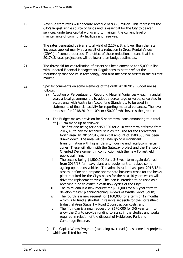- 19. Revenue from rates will generate revenue of \$36.6 million. This represents the City's largest single source of funds and is essential for the City to deliver services, undertake capital works and to maintain the current level of maintenance of community facilities and reserves.
- 20. The rates generated deliver a total yield of 2.15%. It is lower than the rate increases applied mainly as a result of a reduction in Gross Rental Values (GRV's) of some properties. The effect of these reductions means that the 2017/18 rates projections will be lower than budget estimates.
- 21. The threshold for capitalisation of assets has been amended to \$5,000 in line with updated Financial Management Regulations to better reflect the redundancy that occurs in technology, and also the cost of assets in the current market.
- 22. Specific comments on some elements of the draft 2018/2019 Budget are as follows:
	- a) Adoption of Percentage for Reporting Material Variances each financial year, a local government is to adopt a percentage or value, calculated in accordance with Australian Accounting Standards, to be used in statements of financial activity for reporting material variances. The level proposed for 2018/2019 is 10% or \$50,000 whichever is the greater.
	- b) The Budget makes provision for 5 short term loans amounting to a total of \$2.52m made up as follows:
		- i. The first one being for a \$450,000 for a 10-year term deferred from 2017/18 to pay for technical studies required for the Forrestfield North area. In 2016/2017, an initial amount of \$500,000 has been drawn down. The area will be undergoing a significant transformation with higher density housing and retail/commercial zones. These will align with the Gateway project and the Transport Oriented Development in conjunction with the new Forrestfield public train line;
		- ii. The second being \$1,500,000 for a 3-5 year term again deferred from 2017/18 for heavy plant and equipment to replace some ageing operations vehicles. The administration has spent 2017/18 to assess, define and prepare appropriate business cases for the heavy plant required for the City's needs for the next 10 years which will drive the replacement cycle. The loan is intended to be used as a revolving fund to assist in cash flow cycles of the City;
		- iii. The third loan is a new request for \$300,000 for a 5-year term to develop master planning/zoning reviews of Wattle Grove South;
		- iv. The fourth is a new request for \$100,000 for a term of 12 months which is to fund a shortfall in reserve set aside for the Forrestfield Industrial Area Stage 1 – Road 2 construction costs; and
		- v. The fifth loan is a new request for \$170,000 for 3-5 year term to allow the City to provide funding to assist in the studies and works required in relation of the disposal of Heidelberg Park and Cambridge Reserve.
	- c) The Capital Works Program (excluding overheads) has some key projects which are listed below: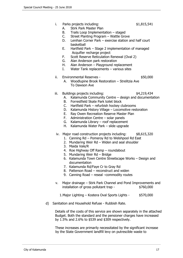- i. Parks projects including:  $$1,815,541$ 
	-
- A. Stirk Park Master Plan
	- B. Trails Loop Implementation staged
	- C. Street Planting Program Wattle Grove
- D. Lenihan Corner Park exercise station and half court basketball
- E. Hartfield Park Stage 2 implementation of managed Acquifier recharge project
- F. Scott Reserve Reticulation Renewal (Oval 2)
- G. Alan Anderson park restoration
- H. Alan Anderson Playground replacement
- I. Water Tank replacements various sites

### ii. Environmental Reserves - \$50,000

A. Woodlupine Brook Restoration – Strelitzia Ave To Dawson Ave

### iii. Buildings projects including:  $$4,219,434$

- A. Kalamunda Community Centre design and documentation
- B. Forrestfield Skate Park toilet block
- C. Hartfield Park refurbish hockey clubrooms
- D. Kalamunda History Village Locomotive restoration
- E. Ray Owen Recreation Reserve Master Plan
- F. Administration Centre solar panels
- G. Kalamunda Library roof replacement
- H. Kalamunda Water Park slide upgrade
- iv. Major road construction projects including: \$8,615,320
	- 1. Canning Rd Pomeroy Rd to Welshpool Rd East
	- 2. Mundaring Weir Rd Widen and seal shoulder
	- 3. Maida Vale/R
	- 4. Roe Highway Off Ramp roundabout
	- 5. Mundaring Weir Rd Bridge
	- 6. Kalamunda Town Centre Streetscape Works Design and documentation
	- 7. Kalamunda Rd/Faye Cr to Gray Rd
	- 8. Patterson Road reconstruct and widen
	- 9. Canning Road reseal –commodity routes
- v. Major drainage Stirk Park Channel and Pond Improvements and installation of gross pollutant trap - \$760,000
	- 1. Major Lighting Kostera Oval Sports Lights \$570,000
- d) Sanitation and Household Refuse Rubbish Rate.

Details of the costs of this service are shown separately in the attached Budget. Both the standard and the pensioner charges have increased by 1.5% and 2.6% to \$539 and \$309 respectively.

These increases are primarily necessitated by the significant increase by the State Government landfill levy on putrescible waste to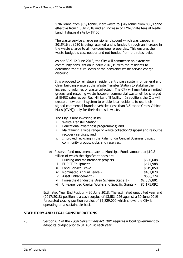\$70/Tonne from \$65/Tonne, inert waste to \$70/Tonne from \$60/Tonne effective from 1 July 2018 and an increase of EMRC gate fees at Redhill Landfill disposal site by \$7.50

The waste service charge pensioner discount which was capped in 2015/16 at \$230 is being retained and is funded through an increase in the waste charge to all non-pensioner properties. This ensures the waste budget is cost neutral and not funded from the rates levied.

As per SCM 12 June 2018, the City will commence an extensive community consultation in early 2018/19 with the residents to determine the future levels of the pensioner waste service charge discount.

It is proposed to reinstate a resident entry pass system for general and clean building waste at the Waste Transfer Station to stabilise the increasing volumes of waste collected. The City will maintain unlimited greens and recycling waste however commercial waste will be charged at EMRC rates as per Red Hill Landfill facility. In addition, the City will create a new permit system to enable local residents to use their signed commercial branded vehicles (less than 3.5 tonne Gross Vehicle Mass (GVM)) only for their domestic waste.

The City is also investing in its:

- i. Waste Transfer Station;
- ii. Educational awareness programmes; and
- iii. Maintaining a wide range of waste collection/disposal and resource recovery services; and
- iv. Improved recycling in the Kalamunda Central Business district, community groups, clubs and reserves.
- e) Reserve fund movements back to Municipal Funds amount to \$10.8 million of which the significant ones are:

| İ. | Building and maintenance projects -                  | \$580,608   |
|----|------------------------------------------------------|-------------|
|    | ii. EDP IT Equipment -                               | \$471,988   |
|    | iii. Long Service Leave -                            | \$519,050   |
|    | iv. Nominated Annual Leave -                         | \$481,870   |
|    | v. Asset Enhancement -                               | \$666,224   |
|    | vi. Forrestfield Industrial Area Scheme Stage 1 -    | \$2,339,801 |
|    | vii. Un-expended Capital Works and Specific Grants - | \$5,175,092 |
|    |                                                      |             |

Estimated Year End Position - 30 June 2018. The estimated unaudited year end (2017/2018) position is a cash surplus of \$3,581,226 against a 30 June 2019 forecasted closing position surplus of \$2,829,000 which shows the City is operating on a sustainable basis.

#### **STATUTORY AND LEGAL CONSIDERATIONS**

23. Section 6.2 of the Local Government Act 1995 requires a local government to adopt its budget prior to 31 August each year.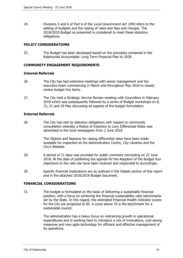24. Divisions 5 and 6 of Part 6 of the *Local Government Act 1995* refers to the setting of budgets and the raising of rates and fees and charges. The 2018/2019 Budget as presented is considered to meet these statutory obligations.

# **POLICY CONSIDERATIONS**

25. The Budget has been developed based on the principles contained in the Kalamunda Accountable: Long Term Financial Plan to 2028.

# **COMMUNITY ENGAGEMENT REQUIREMENTS**

#### **Internal Referrals**

- 26. The City has had extensive meetings with senior management and the executive team commencing in March and throughout May 2018 to closely review budget line items.
- 27. The City held a Strategic Service Review meeting with Councillors in February 2018 which was subsequently followed by a series of Budget workshops on 8, 15, 21 and 29 May discussing all aspects of the budget formulation.

# **External Referrals**

28. The City has met its statutory obligations with respect to community consultation whereby a Notice of Intention to Levy Differential Rates was advertised in the local newspapers from 2 June 2018.

> The Objects and Reasons for raising differential rates have been made available for inspection at the Administration Centre, City Libraries and the City's Website.

- 29. A period of 21 days was provided for public comment concluding on 22 June 2018. At the date of publishing the agenda for the Adoption of the Budget four objections to the rate rise have been received and responded to accordingly.
- 30. Specific financial implications are as outlined in the Details section of this report and in the attached 2018/2019 Budget document.

#### **FINANCIAL CONSIDERATIONS**

31. The budget is formulated on the basis of delivering a sustainable financial position, with a focus on achieving the financial sustainability ratio benchmarks set by the State. In this regard, the estimated Financial Health Indicator scores for the City are projected at 85. A score above 70 is the benchmark for a sustainable council.

> The administration has a heavy focus on restraining growth in operational expenditures and is working hard to introduce a mix of innovations, cost saving measures and new agile technology for efficient and effective management of its operations.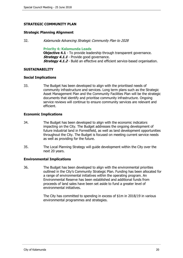# **STRATEGIC COMMUNITY PLAN**

#### **Strategic Planning Alignment**

32. Kalamunda Advancing Strategic Community Plan to 2028

#### **Priority 4: Kalamunda Leads**

**Objective 4.1** - To provide leadership through transparent governance. **Strategy 4.1.1** - Provide good governance. **Strategy 4.1.2** - Build an effective and efficient service-based organisation.

### **SUSTAINABILITY**

### **Social Implications**

33. The Budget has been developed to align with the prioritised needs of community infrastructure and services. Long term plans such as the Strategic Asset Management Plan and the Community Facilities Plan will be the strategic documents that identify and prioritise community infrastructure. Ongoing service reviews will continue to ensure community services are relevant and efficient.

### **Economic Implications**

- 34. The Budget has been developed to align with the economic indicators impacting on the City. The Budget addresses the ongoing development of future industrial land in Forrestfield, as well as land development opportunities throughout the City. The Budget is focused on meeting current service needs as well as providing for the future.
- 35. The Local Planning Strategy will guide development within the City over the next 20 years.

# **Environmental Implications**

36. The Budget has been developed to align with the environmental priorities outlined in the City's Community Strategic Plan. Funding has been allocated for a range of environmental initiatives within the operating program. An Environmental Reserve has been established and additional funds from proceeds of land sales have been set aside to fund a greater level of environmental initiatives.

> The City has committed to spending in excess of \$1m in 2018/19 in various environmental programmes and strategies.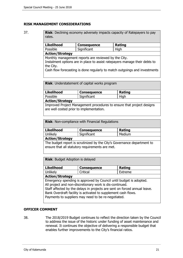# **RISK MANAGEMENT CONSIDERATIONS**

37. **Risk**: Declining economy adversely impacts capacity of Ratepayers to pay rates. **Likelihood Consequence Rating**

> Possible Significant High **Action/Strategy** Monthly management reports are reviewed by the City. Instalment options are in place to assist ratepayers manage their debts to the City. Cash flow forecasting is done regularly to match outgoings and investments

**Risk**: Understatement of capital works program

| Likelihood      | <b>Consequence</b> | <b>Rating</b> |  |
|-----------------|--------------------|---------------|--|
| l Possible      | Significant        | High          |  |
| Action/Strategy |                    |               |  |

Improved Project Management procedures to ensure that project designs are well costed prior to implementation.

**Risk**: Non-compliance with Financial Regulations

| <b>Likelihood</b>                                                       | <b>Consequence</b> | Rating |
|-------------------------------------------------------------------------|--------------------|--------|
| Unlikely                                                                | Significant        | Medium |
| <b>Action/Strategy</b>                                                  |                    |        |
| The budget report is scrutinized by the City's Governance department to |                    |        |

ensure that all statutory requirements are met.

**Risk**: Budget Adoption is delayed

| Likelihood             | <b>Consequence</b>                                                                                                                                                                                                                                                                                                                   | Rating  |
|------------------------|--------------------------------------------------------------------------------------------------------------------------------------------------------------------------------------------------------------------------------------------------------------------------------------------------------------------------------------|---------|
| <b>Unlikely</b>        | Critical                                                                                                                                                                                                                                                                                                                             | Extreme |
| <b>Action/Strategy</b> |                                                                                                                                                                                                                                                                                                                                      |         |
|                        | Emergency spending is approved by Council until budget is adopted.<br>All project and non-discretionary work is dis-continued.<br>Staff affected by the delays in projects are sent on forced annual leave.<br>Bank Overdraft facility is activated to supplement cash flows.<br>Payments to suppliers may need to be re-negotiated. |         |

#### **OFFICER COMMENT**

38. The 2018/2019 Budget continues to reflect the direction taken by the Council to address the issue of the historic under funding of asset maintenance and renewal. It continues the objective of delivering a responsible budget that enables further improvements to the City's financial ratios.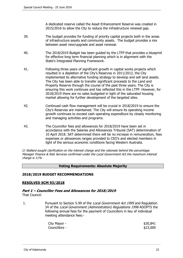A dedicated reserve called the Asset Enhancement Reserve was created in 2015/2016 to allow the City to reduce the infrastructure renewal gap.

- 39. The budget provides for funding of priority capital projects both in the areas of infrastructure assets and community assets. The budget provides a mix between asset new/upgrade and asset renewal.
- 40. The 2018/2019 Budget has been guided by the LTFP that provides a blueprint for effective long term financial planning which is in alignment with the State's Integrated Planning Framework.
- 41. Following three years of significant growth in capital works projects which resulted in a depletion of the City's Reserves in 2011/2012, the City implemented its alternative funding strategy to develop and sell land assets. The City has been able to transfer significant proceeds to the Land and Property Reserve through the course of the past three years. The City is ensuring this work continues and has reflected this in the LTFP. However, for 2018/2019 there are no sales budgeted in light of the saturated housing market allowing for further development of the targeted sites.
- 42. Continued cash flow management will be crucial in 2018/2019 to ensure the City's Reserves are maintained. The City will ensure its operating income growth continues to exceed cash operating expenditure by closely monitoring and managing activities and programs.
- 43. The Councillor fees and allowances for 2018/2019 have been set in accordance with the Salaries and Allowances Tribunal (SAT) determination of 10 April 2018. SAT determined there will be no increase in remuneration, fees expenses or allowances ranges provided to CEO's and elected members in light of the serious economic conditions facing Western Australia.

Cr Stallard sought clarification on the interest charge and the rationale behind the percentage. Manager Finance & Risk Services confirmed under the Local Government Act the maximum interest charge is 11%.

#### **Voting Requirements: Absolute Majority**

# **2018/2019 BUDGET RECOMMENDATIONS**

#### **RESOLVED SCM 93/2018**

#### **Part 1 – Councillor Fees and Allowances for 2018/2019** That Council:

1. Pursuant to Section 5.99 of the Local Government Act 1995 and Regulation 34 of the *Local Government (Administration) Regulations 1996* ADOPTS the following annual fees for the payment of Councillors in lieu of individual meeting attendance fees:-

| City Mayor -  | \$30,841 |
|---------------|----------|
| Councillors - | \$23,000 |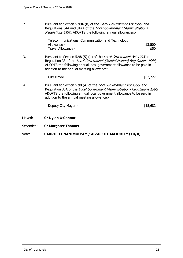2. Pursuant to Section 5.99A (b) of the Local Government Act 1995 and Regulations 34A and 34AA of the Local Government [Administration] Regulations 1996, ADOPTS the following annual allowances:-

| Telecommunications, Communication and Technology |         |
|--------------------------------------------------|---------|
| Allowance -                                      | \$3,500 |
| Travel Allowance -                               | \$50    |

3. Pursuant to Section 5.98 (5) (b) of the Local Government Act 1995 and Regulation 33 of the *Local Government [Administration] Regulations 1996*, ADOPTS the following annual local government allowance to be paid in addition to the annual meeting allowance:-

 $City$  Mayor -  $$62,727$ 

4. Pursuant to Section 5.98 (A) of the Local Government Act 1995 and Regulation 33A of the Local Government [Administration] Regulations 1996, ADOPTS the following annual local government allowance to be paid in addition to the annual meeting allowance:-

Deputy City Mayor -  $$15,682$ 

- Moved: **Cr Dylan O'Connor**
- Seconded: **Cr Margaret Thomas**

# Vote: **CARRIED UNANIMOUSLY / ABSOLUTE MAJORITY (10/0)**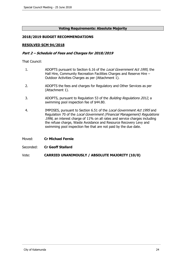# **Voting Requirements: Absolute Majority**

# **2018/2019 BUDGET RECOMMENDATIONS**

### **RESOLVED SCM 94/2018**

#### **Part 2 – Schedule of Fees and Charges for 2018/2019**

That Council:

- 1. ADOPTS pursuant to Section 6.16 of the Local Government Act 1995, the Hall Hire, Community Recreation Facilities Charges and Reserve Hire – Outdoor Activities Charges as per (Attachment 1).
- 2. ADOPTS the fees and charges for Regulatory and Other Services as per (Attachment 1).
- 3. ADOPTS, pursuant to Regulation 53 of the *Building Regulations 2012*, a swimming pool inspection fee of \$44.80.
- 4. IMPOSES, pursuant to Section 6.51 of the Local Government Act 1995 and Regulation 70 of the Local Government (Financial Management) Regulations 1996, an interest charge of 11% on all rates and service charges including the refuse charge, Waste Avoidance and Resource Recovery Levy and swimming pool inspection fee that are not paid by the due date.
- Moved: **Cr Michael Fernie**
- Seconded: **Cr Geoff Stallard**

Vote: **CARRIED UNANIMOUSLY / ABSOLUTE MAJORITY (10/0)**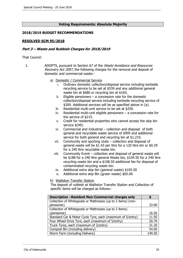#### **Voting Requirements: Absolute Majority**

#### **2018/2019 BUDGET RECOMMENDATIONS**

#### **RESOLVED SCM 95/2018**

#### **Part 3 – Waste and Rubbish Charges for 2018/2019**

That Council:

- 1. ADOPTS, pursuant to Section 67 of the Waste Avoidance and Resources Recovery Act 2007, the following charges for the removal and deposit of domestic and commercial waste:
	- a) Domestic / Commercial Service
		- i. Ordinary domestic collection/disposal service including kerbside recycling service to be set at \$539 and any additional general waste bin at \$680 or recycling bin at \$165;
		- ii. Eligible pensioners  $-$  a concession rate for the domestic collection/disposal service including kerbside recycling service of \$309. Additional services will be as specified above in (a).
		- iii. Residential multi-unit service to be set at \$250.
		- iv. Residential multi-unit eligible pensioners a concession rate for the service of \$215.
		- v. Credit for residential properties who cannot access the skip bin service  $$$ (49).
		- vi. Commercial and Industrial collection and disposal of both general and recyclable waste service of \$995 and additional service for both general and recycling bin at \$1,210.
		- vii. Community and sporting clubs collection and disposal of general waste will be \$1.43 per litre for a 120 litre bin or \$0.29 for a 240 litre recyclable waste bin.
		- viii. Community Event collection and disposal of general waste will be \$188 for a 240 litre general Waste bin, \$104.50 for a 240 litre recycling waste bin and a \$108.50 additional fee for disposal of contaminated recycling waste bin.
			- ix. Additional extra skip bin (general waste) \$105.50
			- x. Additional extra skip Bin (green waste) \$65.00
	- b) Walliston Transfer Station

The deposit of rubbish at Walliston Transfer Station and Collection of specific items will be charged as follows:-

| <b>Description -Resident Non-Commercial charges only</b>     |        |
|--------------------------------------------------------------|--------|
| Collection of Whitegoods or Mattresses (up to 2 items) (non- |        |
| pensioner)                                                   | 33.00  |
| Collection of Whitegoods or Mattresses (up to 2 items)       |        |
| (pensioner)                                                  | 16.50  |
| Standard Car & Motor Cycle Tyre, each (maximum of 5/entry)   | 11.50  |
| Four Wheel Drive Tyre, each (maximum of 5/entry)             | 20.70  |
| Truck Tyres, each (maximum of 2/entry)                       | 31.30  |
| Compost Bin (including delivery)                             | 54.00  |
| Worm Farm (including Delivery)                               | 149.50 |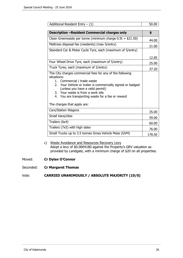| Additional Resident Entry $- (1)$                                                                                                                                                                                                                                                                                                      | 50.00  |
|----------------------------------------------------------------------------------------------------------------------------------------------------------------------------------------------------------------------------------------------------------------------------------------------------------------------------------------|--------|
| <b>Description -Resident Commercial charges only</b>                                                                                                                                                                                                                                                                                   | \$     |
| Clean Greenwaste per tonne (minimum charge $0.5t = $21.50$ )                                                                                                                                                                                                                                                                           | 44.00  |
| Mattress disposal fee (residents) (max 5/entry)                                                                                                                                                                                                                                                                                        | 21.00  |
| Standard Car & Motor Cycle Tyre, each (maximum of 5/entry)                                                                                                                                                                                                                                                                             |        |
|                                                                                                                                                                                                                                                                                                                                        | 12.85  |
| Four Wheel Drive Tyre, each (maximum of 5/entry)                                                                                                                                                                                                                                                                                       | 25.00  |
| Truck Tyres, each (maximum of 2/entry)                                                                                                                                                                                                                                                                                                 | 37.20  |
| The City charges commercial fees for any of the following<br>situations:<br>Commercial / trade waste<br>1.<br>2. Your Vehicle or trailer is commercially signed or badged<br>(unless you have a valid permit)<br>3. Your waste is from a work site<br>4. You are transporting waste for a fee or reward<br>The charges that apply are: |        |
| Cars/Station Wagons                                                                                                                                                                                                                                                                                                                    | 35.00  |
| Small Vans/Utes                                                                                                                                                                                                                                                                                                                        | 59.00  |
| Trailers (6x4)                                                                                                                                                                                                                                                                                                                         | 60.00  |
| Trailers (7x5) with high sides                                                                                                                                                                                                                                                                                                         | 76.00  |
| Small Trucks up to 3.5 tonnes Gross Vehicle Mass (GVM)                                                                                                                                                                                                                                                                                 | 178.50 |

# c) Waste Avoidance and Resources Recovery Levy Adopt a levy of \$0.0004180 against the Property's GRV valuation as provided by Landgate, with a minimum charge of \$20 on all properties.

Moved: **Cr Dylan O'Connor**

Seconded: **Cr Margaret Thomas**

# Vote: **CARRIED UNANIMOUSLY / ABSOLUTE MAJORITY (10/0)**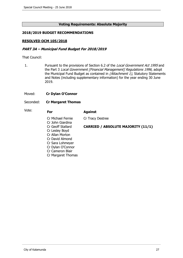#### **Voting Requirements: Absolute Majority**

#### **2018/2019 BUDGET RECOMMENDATIONS**

#### **RESOLVED OCM 105/2018**

#### **PART 3A – Municipal Fund Budget For 2018/2019**

That Council:

- 1. Pursuant to the provisions of Section 6.2 of the Local Government Act 1995 and the Part 3 Local Government [Financial Management] Regulations 1996, adopt the Municipal Fund Budget as contained in (Attachment 1), Statutory Statements and Notes (including supplementary information) for the year ending 30 June 2019.
- Moved: **Cr Dylan O'Connor**
- Seconded: **Cr Margaret Thomas**

| Vote: | For                                   | <b>Against</b>                            |
|-------|---------------------------------------|-------------------------------------------|
|       | Cr Michael Fernie<br>Cr John Giardina | Cr Tracy Destree                          |
|       | Cr Geoff Stallard                     | <b>CARRIED / ABSOLUTE MAJORITY (11/1)</b> |
|       | Cr Lesley Boyd                        |                                           |
|       | Cr Allan Morton                       |                                           |
|       | Cr David Almond                       |                                           |
|       | Cr Sara Lohmeyer                      |                                           |
|       | Cr Dylan O'Connor                     |                                           |
|       | Cr Cameron Blair                      |                                           |
|       | Cr Margaret Thomas                    |                                           |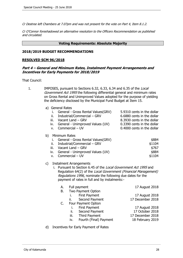Cr Destree left Chambers at 7.07pm and was not present for the vote on Part 4, Item 8.1.2.

Cr O'Connor foreshadowed an alternative resolution to the Officers Recommendation as published and circulated.

#### **Voting Requirements: Absolute Majority**

#### **2018/2019 BUDGET RECOMMENDATIONS**

#### **RESOLVED SCM 96/2018**

#### **Part 4 – General and Minimum Rates, Instalment Payment Arrangements and Incentives for Early Payments for 2018/2019**

That Council:

| 1. | IMPOSES, pursuant to Sections 6.32, 6.33, 6.34 and 6.35 of the Local<br>Government Act 1995 the following differential general and minimum rates<br>on Gross Rental and Unimproved Values adopted for the purpose of yielding<br>the deficiency disclosed by the Municipal Fund Budget at Item 15. |                                                                                                                                                                                                                 |                                                                                                                                                    |  |  |
|----|----------------------------------------------------------------------------------------------------------------------------------------------------------------------------------------------------------------------------------------------------------------------------------------------------|-----------------------------------------------------------------------------------------------------------------------------------------------------------------------------------------------------------------|----------------------------------------------------------------------------------------------------------------------------------------------------|--|--|
|    | a) General Rates<br>i.<br>ii.<br>iii.<br>iv.<br>V.                                                                                                                                                                                                                                                 | General - Gross Rental Values(GRV)<br>Industrial/Commercial - GRV<br>Vacant Land - GRV<br>General - Unimproved Values (UV)<br>Commercial - UV                                                                   | 5.9310 cents in the dollar<br>6.6880 cents in the dollar<br>8.3930 cents in the dollar<br>0.3390 cents in the dollar<br>0.4000 cents in the dollar |  |  |
|    | b)<br>Minimum Rates<br>i.<br>ii.<br>iii.<br>iv.<br>v.                                                                                                                                                                                                                                              | General - Gross Rental Values(GRV)<br>Industrial/Commercial – GRV<br>Vacant Land - GRV<br>General - Unimproved Values (UV)<br>Commercial - UV                                                                   | \$884<br>\$1104<br>\$767<br>\$884<br>\$1104                                                                                                        |  |  |
|    | <b>Instalment Arrangements</b><br>C)<br>i. Pursuant to Section 6.45 of the Local Government Act 1995 and<br>Regulation 64(2) of the Local Government (Financial Management)<br>Regulations 1996, nominate the following due dates for the<br>payment of rates in full and by instalments:-         |                                                                                                                                                                                                                 |                                                                                                                                                    |  |  |
|    | А.<br>В.<br>C.                                                                                                                                                                                                                                                                                     | Full payment<br>Two Payment Option<br>First Payment<br>i.<br>Second Payment<br>н.<br>Four Payment Option<br>First Payment<br>i.<br>ii.<br>Second Payment<br>iii. Third Payment<br>Fourth (Final) Payment<br>iv. | 17 August 2018<br>17 August 2018<br>17 December 2018<br>17 August 2018<br>17 October 2018<br>17 December 2018<br>18 February 2019                  |  |  |
|    | d)                                                                                                                                                                                                                                                                                                 | Incentives for Early Payment of Rates                                                                                                                                                                           |                                                                                                                                                    |  |  |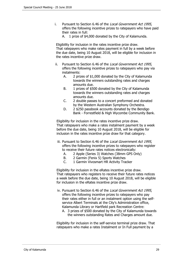- i. Pursuant to Section 6.46 of the Local Government Act 1995, offers the following incentive prizes to ratepayers who have paid their rates in full:
	- A. 1 prize of \$4,000 donated by the City of Kalamunda.

Eligibility for inclusion in the rates incentive prize draw. That ratepayers who make rates payment in full by a week before the due date, being 10 August 2018, will be eligible for inclusion in the rates incentive prize draw.

- ii. Pursuant to Section 6.46 of the Local Government Act 1995, offers the following incentive prizes to ratepayers who pay via instalments:
	- A. 2 prizes of \$1,000 donated by the City of Kalamunda towards the winners outstanding rates and charges amounts due.
	- B. 1 prizes of \$500 donated by the City of Kalamunda towards the winners outstanding rates and charges amounts due.
	- C. 2 double passes to a concert preformed and donated by the Western Australian Symphony Orchestra.
	- D. 2 \$250 passbook accounts donated by the Bendigo Bank - Forrestfield & High Wycombe Community Bank.

Eligibility for inclusion in the rates incentive prize draw. That ratepayers who make a rates instalment payment by a week before the due date, being 10 August 2018, will be eligible for inclusion in the rates incentive prize draw for that category.

- iii. Pursuant to Section 6.46 of the Local Government Act 1995, offers the following incentive prizes to ratepayers who register to receive their future rates notices electronically:
	- A. 2 Apple (Series 3) Watches (38mm GPS Only)
	- B. 2 Garmin (Fenix 5) Sports Watches
	- C. 1 Garmin Vivosmart HR Activity Tracker

Eligibility for inclusion in the eRates incentive prize draw. That ratepayers who registers to receive their future rates notices a week before the due date, being 10 August 2018, will be eligible for inclusion in the eRates incentive prize draw.

- iv. Pursuant to Section 6.46 of the Local Government Act 1995, offers the following incentive prizes to ratepayers who pay their rates either in full or an instalment option using the selfservice Albert Terminals at the City's Administration office, Kalamunda Library or Hartfield park Recreation Centre:
	- A. 3 prizes of \$500 donated by the City of Kalamunda towards the winners outstanding Rates and Charges amount due.

Eligibility for inclusion in the self-service terminal prize draw. That ratepayers who make a rates Instalment or In Full payment by a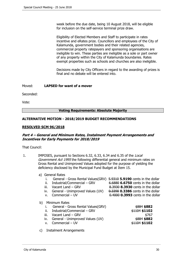week before the due date, being 10 August 2018, will be eligible for inclusion on the self-service terminal prize draw.

Eligibility of Elected Members and Staff to participate in rates incentive and eRates prize. Councillors and employees of the City of Kalamunda, government bodies and their related agencies, commercial property ratepayers and sponsoring organisations are ineligible to win. These parties are ineligible as a sole or part owner of any property within the City of Kalamunda boundaries. Rates exempt properties such as schools and churches are also ineligible.

Decisions made by City Officers in regard to the awarding of prizes is final and no debate will be entered into.

Moved: **LAPSED for want of a mover**

Seconded:

Vote:

#### **Voting Requirements: Absolute Majority**

### **ALTERNATIVE MOTION - 2018/2019 BUDGET RECOMMENDATIONS**

#### **RESOLVED SCM 96/2018**

### **Part 4 – General and Minimum Rates, Instalment Payment Arrangements and Incentives for Early Payments for 2018/2019**

That Council:

- 1. IMPOSES, pursuant to Sections 6.32, 6.33, 6.34 and 6.35 of the Local Government Act 1995 the following differential general and minimum rates on Gross Rental and Unimproved Values adopted for the purpose of yielding the deficiency disclosed by the Municipal Fund Budget at Item 15.
	- a) General Rates

|                                | General - Gross Rental Values(GRV)                                                                                                                             | 5.9310 5.9190 cents in the dollar                                        |
|--------------------------------|----------------------------------------------------------------------------------------------------------------------------------------------------------------|--------------------------------------------------------------------------|
| ii.                            | Industrial/Commercial - GRV                                                                                                                                    | 6,6880 <b>6.6750</b> cents in the dollar                                 |
| iii.                           | Vacant Land - GRV                                                                                                                                              | 8.3930 8.3930 cents in the dollar                                        |
| iv.                            | General - Unimproved Values (UV)                                                                                                                               | 0.3390 <b>0.3386</b> cents in the dollar                                 |
| v.                             | Commercial - UV                                                                                                                                                | 0.4000 0.3993 cents in the dollar                                        |
| b)<br>ii.<br>iii.<br>iv.<br>v. | Minimum Rates<br>General - Gross Rental Values(GRV)<br>Industrial/Commercial - GRV<br>Vacant Land - GRV<br>General - Unimproved Values (UV)<br>Commercial - UV | $$884$ \$882<br>$$1104$ \$1102<br>\$767<br>\$884 \$882<br>$$1104$ \$1102 |

c) Instalment Arrangements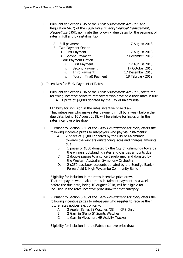i. Pursuant to Section 6.45 of the *Local Government Act 1995* and Regulation 64(2) of the Local Government (Financial Management) Regulations 1996, nominate the following due dates for the payment of rates in full and by instalments:-

|    | A. Full payment |                        | 17 August 2018   |
|----|-----------------|------------------------|------------------|
|    |                 | B. Two Payment Option  |                  |
|    |                 | i. First Payment       | 17 August 2018   |
|    |                 | ii. Second Payment     | 17 December 2018 |
| C. |                 | Four Payment Option    |                  |
|    |                 | i. First Payment       | 17 August 2018   |
|    | ii.             | Second Payment         | 17 October 2018  |
|    | iii.            | <b>Third Payment</b>   | 17 December 2018 |
|    | iv.             | Fourth (Final) Payment | 18 February 2019 |
|    |                 |                        |                  |

- d) Incentives for Early Payment of Rates
	- i. Pursuant to Section 6.46 of the Local Government Act 1995, offers the following incentive prizes to ratepayers who have paid their rates in full: A. 1 prize of \$4,000 donated by the City of Kalamunda.

Eligibility for inclusion in the rates incentive prize draw. That ratepayers who make rates payment in full by a week before the due date, being 10 August 2018, will be eligible for inclusion in the rates incentive prize draw.

- ii. Pursuant to Section 6.46 of the Local Government Act 1995, offers the following incentive prizes to ratepayers who pay via instalments:
	- A. 2 prizes of \$1,000 donated by the City of Kalamunda towards the winners outstanding rates and charges amounts due.
	- B. 1 prizes of \$500 donated by the City of Kalamunda towards the winners outstanding rates and charges amounts due.
	- C. 2 double passes to a concert preformed and donated by the Western Australian Symphony Orchestra.
	- D. 2 \$250 passbook accounts donated by the Bendigo Bank Forrestfield & High Wycombe Community Bank.

Eligibility for inclusion in the rates incentive prize draw. That ratepayers who make a rates instalment payment by a week before the due date, being 10 August 2018, will be eligible for inclusion in the rates incentive prize draw for that category.

- iii. Pursuant to Section 6.46 of the Local Government Act 1995, offers the following incentive prizes to ratepayers who register to receive their future rates notices electronically:
	- A. 2 Apple (Series 3) Watches (38mm GPS Only)
	- B. 2 Garmin (Fenix 5) Sports Watches
	- C. 1 Garmin Vivosmart HR Activity Tracker

Eligibility for inclusion in the eRates incentive prize draw.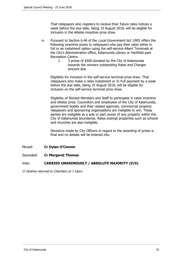That ratepayers who registers to receive their future rates notices a week before the due date, being 10 August 2018, will be eligible for inclusion in the eRates incentive prize draw.

- iv. Pursuant to Section 6.46 of the Local Government Act 1995, offers the following incentive prizes to ratepayers who pay their rates either in full or an instalment option using the self-service Albert Terminals at the City's Administration office, Kalamunda Library or Hartfield park Recreation Centre:
	- 1. 3 prizes of \$500 donated by the City of Kalamunda towards the winners outstanding Rates and Charges amount due.

Eligibility for inclusion in the self-service terminal prize draw. That ratepayers who make a rates Instalment or In Full payment by a week before the due date, being 10 August 2018, will be eligible for inclusion on the self-service terminal prize draw.

Eligibility of Elected Members and Staff to participate in rates incentive and eRates prize. Councillors and employees of the City of Kalamunda, government bodies and their related agencies, commercial property ratepayers and sponsoring organisations are ineligible to win. These parties are ineligible as a sole or part owner of any property within the City of Kalamunda boundaries. Rates exempt properties such as schools and churches are also ineligible.

Decisions made by City Officers in regard to the awarding of prizes is final and no debate will be entered into.

# Moved: **Cr Dylan O'Connor**

# Seconded: **Cr Margaret Thomas**

# Vote: **CARRIED UNANIMOUSLY / ABSOLUTE MAJORITY (9/0)**

Cr Destree returned to Chambers at 7.16pm.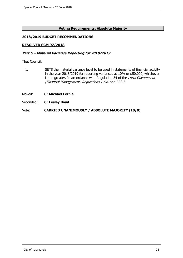# **Voting Requirements: Absolute Majority**

# **2018/2019 BUDGET RECOMMENDATIONS**

### **RESOLVED SCM 97/2018**

#### **Part 5 – Material Variance Reporting for 2018/2019**

That Council:

- 1. SETS the material variance level to be used in statements of financial activity in the year 2018/2019 for reporting variances at 10% or \$50,000, whichever is the greater. In accordance with Regulation 34 of the Local Government (Financial Management) Regulations 1996, and AAS 5.
- Moved: **Cr Michael Fernie**
- Seconded: **Cr Lesley Boyd**

Vote: **CARRIED UNANIMOUSLY / ABSOLUTE MAJORITY (10/0)**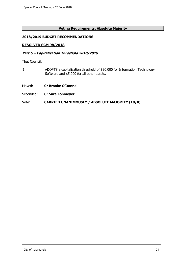### **Voting Requirements: Absolute Majority**

# **2018/2019 BUDGET RECOMMENDATIONS**

#### **RESOLVED SCM 98/2018**

#### **Part 6 – Capitalisation Threshold 2018/2019**

That Council:

- 1. ADOPTS a capitalisation threshold of \$30,000 for Information Technology Software and \$5,000 for all other assets.
- Moved: **Cr Brooke O'Donnell**
- Seconded: **Cr Sara Lohmeyer**

### Vote: **CARRIED UNANIMOUSLY / ABSOLUTE MAJORITY (10/0)**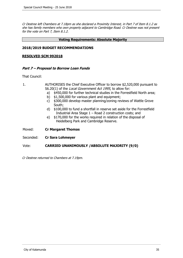Cr Destree left Chambers at 7.18pm as she declared a Proximity Interest, in Part 7 of Item 8.1.2 as she has family members who own property adjacent to Cambridge Road. Cr Destree was not present for the vote on Part 7, Item 8.1.2.

#### **Voting Requirements: Absolute Majority**

#### **2018/2019 BUDGET RECOMMENDATIONS**

#### **RESOLVED SCM 992018**

### **Part 7 – Proposal to Borrow Loan Funds**

That Council:

- 1. AUTHORISES the Chief Executive Officer to borrow \$2,520,000 pursuant to S6.20(1) of the Local Government Act 1995, to allow for:
	- a) \$450,000 for further technical studies in the Forrestfield North area;
	- b) \$1,500,000 for various plant and equipment;
	- c) \$300,000 develop master planning/zoning reviews of Wattle Grove South;
	- d) \$100,000 to fund a shortfall in reserve set aside for the Forrestfield Industrial Area Stage 1 – Road 2 construction costs; and
	- e) \$170,000 for the works required in relation of the disposal of Heidelberg Park and Cambridge Reserve.
- Moved: **Cr Margaret Thomas**
- Seconded: **Cr Sara Lohmeyer**

# Vote: **CARRIED UNANIMOUSLY /ABSOLUTE MAJORITY (9/0)**

Cr Destree returned to Chambers at 7.19pm.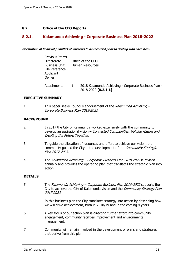# <span id="page-35-0"></span>**8.2. Office of the CEO Reports**

# **8.2.1. Kalamunda Achieving - Corporate Business Plan 2018-2022**

**Declaration of financial / conflict of interests to be recorded prior to dealing with each item.**

| <b>Previous Items</b><br>Directorate<br><b>Business Unit</b><br>File Reference<br>Applicant<br>Owner |    | Office of the CEO<br><b>Human Resources</b>                                 |
|------------------------------------------------------------------------------------------------------|----|-----------------------------------------------------------------------------|
| <b>Attachments</b>                                                                                   | 1. | 2018 Kalamunda Achieving - Corporate Business Plan -<br>2018-2022 [8.2.1.1] |

### **EXECUTIVE SUMMARY**

1. This paper seeks Council's endorsement of the Kalamunda Achieving – Corporate Business Plan 2018-2022.

### **BACKGROUND**

- 2. In 2017 the City of Kalamunda worked extensively with the community to develop an aspirational vision – Connected Communities, Valuing Nature and Creating the Future Together.
- 3. To guide the allocation of resources and effort to achieve our vision, the community quided the City in the development of the *Community Strategic* Plan 2017-2023.
- 4. The Kalamunda Achieving Corporate Business Plan 2018-2022 is revised annually and provides the operating plan that translates the strategic plan into action.

# **DETAILS**

5. The Kalamunda Achieving – Corporate Business Plan 2018-2022 supports the City to achieve the City of Kalamunda vision and the Community Strategy Plan 2017-2023.

> In this business plan the City translates strategy into action by describing how we will drive achievement, both in 2018/19 and in the coming 4 years.

- 6. A key focus of our action plan is directing further effort into community engagement, community facilities improvement and environmental management.
- 7. Community will remain involved in the development of plans and strategies that derive from this plan.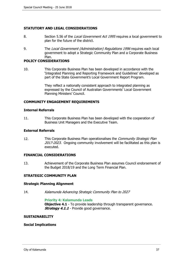### **STATUTORY AND LEGAL CONSIDERATIONS**

- 8. Section 5.56 of the Local Government Act 1995 requires a local government to plan for the future of the district.
- 9. The Local Government (Administration) Regulations 1996 requires each local government to adopt a Strategic Community Plan and a Corporate Business Plan.

### **POLICY CONSIDERATIONS**

10. This Corporate Business Plan has been developed in accordance with the 'Integrated Planning and Reporting Framework and Guidelines' developed as part of the State Government's Local Government Report Program.

> They reflect a nationally consistent approach to integrated planning as expressed by the Council of Australian Governments' Local Government Planning Ministers' Council.

### **COMMUNITY ENGAGEMENT REQUIREMENTS**

#### **Internal Referrals**

11. This Corporate Business Plan has been developed with the cooperation of Business Unit Managers and the Executive Team.

#### **External Referrals**

12. This Corporate Business Plan operationalises the Community Strategic Plan 2017-2023. Ongoing community involvement will be facilitated as this plan is executed.

# **FINANCIAL CONSIDERATIONS**

13. Achievement of the Corporate Business Plan assumes Council endorsement of the Budget 2018/19 and the Long Term Financial Plan.

# **STRATEGIC COMMUNITY PLAN**

#### **Strategic Planning Alignment**

14. Kalamunda Advancing Strategic Community Plan to 2027

#### **Priority 4: Kalamunda Leads**

**Objective 4.1** - To provide leadership through transparent governance. **Strategy 4.1.1** - Provide good governance.

#### **SUSTAINABILITY**

#### **Social Implications**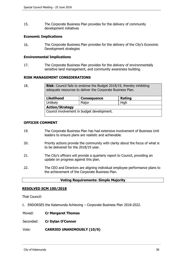15. The Corporate Business Plan provides for the delivery of community development initiatives

#### **Economic Implications**

16. The Corporate Business Plan provides for the delivery of the City's Economic Development strategies

#### **Environmental Implications**

17. The Corporate Business Plan provides for the delivery of environmentally sensitive land management, and community awareness building.

### **RISK MANAGEMENT CONSIDERATIONS**

| 18. | <b>Risk:</b> Council fails to endorse the Budget 2018/19, thereby inhibiting<br>adequate resources to deliver the Corporate Business Plan. |                    |        |  |
|-----|--------------------------------------------------------------------------------------------------------------------------------------------|--------------------|--------|--|
|     | <b>Likelihood</b>                                                                                                                          | <b>Consequence</b> | Rating |  |
|     | Unlikely                                                                                                                                   | Major              | High   |  |
|     | <b>Action/Strategy</b>                                                                                                                     |                    |        |  |
|     | Council involvement in budget development.                                                                                                 |                    |        |  |

### **OFFICER COMMENT**

- 19. The Corporate Business Plan has had extensive involvement of Business Unit leaders to ensure plans are realistic and achievable.
- 20. Priority actions provide the community with clarity about the focus of what is to be delivered for the 2018/19 year.
- 21. The City's officers will provide a quarterly report to Council, providing an update on progress against this plan.
- 22. The CEO and Directors are aligning individual employee performance plans to the achievement of the Corporate Business Plan.

#### **Voting Requirements: Simple Majority**

#### **RESOLVED SCM 100/2018**

That Council:

- 1. ENDORSES the Kalamunda Achieving Corporate Business Plan 2018-2022.
- Moved: **Cr Margaret Thomas**
- Seconded: **Cr Dylan O'Connor**

#### Vote: **CARRIED UNANIMOUSLY (10/0)**